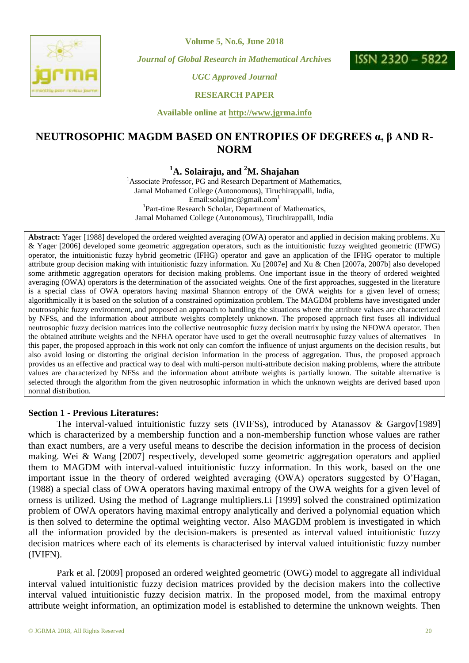

**Volume 5, No.6, June 2018**

*Journal of Global Research in Mathematical Archives*



*UGC Approved Journal*

**RESEARCH PAPER**

**Available online at http://www.jgrma.info**

# **NEUTROSOPHIC MAGDM BASED ON ENTROPIES OF DEGREES α, β AND R-NORM**

## **<sup>1</sup>A. Solairaju, and <sup>2</sup>M. Shajahan**

<sup>1</sup> Associate Professor, PG and Research Department of Mathematics, Jamal Mohamed College (Autonomous), Tiruchirappalli, India, Email:solaijmc@gmail.com<sup>1</sup> <sup>1</sup>Part-time Research Scholar, Department of Mathematics, Jamal Mohamed College (Autonomous), Tiruchirappalli, India

**Abstract:** Yager [1988] developed the ordered weighted averaging (OWA) operator and applied in decision making problems. Xu & Yager [2006] developed some geometric aggregation operators, such as the intuitionistic fuzzy weighted geometric (IFWG) operator, the intuitionistic fuzzy hybrid geometric (IFHG) operator and gave an application of the IFHG operator to multiple attribute group decision making with intuitionistic fuzzy information. Xu [2007e] and Xu & Chen [2007a, 2007b] also developed some arithmetic aggregation operators for decision making problems. One important issue in the theory of ordered weighted averaging (OWA) operators is the determination of the associated weights. One of the first approaches, suggested in the literature is a special class of OWA operators having maximal Shannon entropy of the OWA weights for a given level of orness; algorithmically it is based on the solution of a constrained optimization problem. The MAGDM problems have investigated under neutrosophic fuzzy environment, and proposed an approach to handling the situations where the attribute values are characterized by NFSs, and the information about attribute weights completely unknown. The proposed approach first fuses all individual neutrosophic fuzzy decision matrices into the collective neutrosophic fuzzy decision matrix by using the NFOWA operator. Then the obtained attribute weights and the NFHA operator have used to get the overall neutrosophic fuzzy values of alternatives In this paper, the proposed approach in this work not only can comfort the influence of unjust arguments on the decision results, but also avoid losing or distorting the original decision information in the process of aggregation. Thus, the proposed approach provides us an effective and practical way to deal with multi-person multi-attribute decision making problems, where the attribute values are characterized by NFSs and the information about attribute weights is partially known. The suitable alternative is selected through the algorithm from the given neutrosophic information in which the unknown weights are derived based upon normal distribution.

### **Section 1 - Previous Literatures:**

The interval-valued intuitionistic fuzzy sets (IVIFSs), introduced by Atanassov & Gargov[1989] which is characterized by a membership function and a non-membership function whose values are rather than exact numbers, are a very useful means to describe the decision information in the process of decision making. Wei & Wang [2007] respectively, developed some geometric aggregation operators and applied them to MAGDM with interval-valued intuitionistic fuzzy information. In this work, based on the one important issue in the theory of ordered weighted averaging (OWA) operators suggested by O'Hagan, (1988) a special class of OWA operators having maximal entropy of the OWA weights for a given level of orness is utilized. Using the method of Lagrange multipliers.Li [1999] solved the constrained optimization problem of OWA operators having maximal entropy analytically and derived a polynomial equation which is then solved to determine the optimal weighting vector. Also MAGDM problem is investigated in which all the information provided by the decision-makers is presented as interval valued intuitionistic fuzzy decision matrices where each of its elements is characterised by interval valued intuitionistic fuzzy number (IVIFN).

Park et al. [2009] proposed an ordered weighted geometric (OWG) model to aggregate all individual interval valued intuitionistic fuzzy decision matrices provided by the decision makers into the collective interval valued intuitionistic fuzzy decision matrix. In the proposed model, from the maximal entropy attribute weight information, an optimization model is established to determine the unknown weights. Then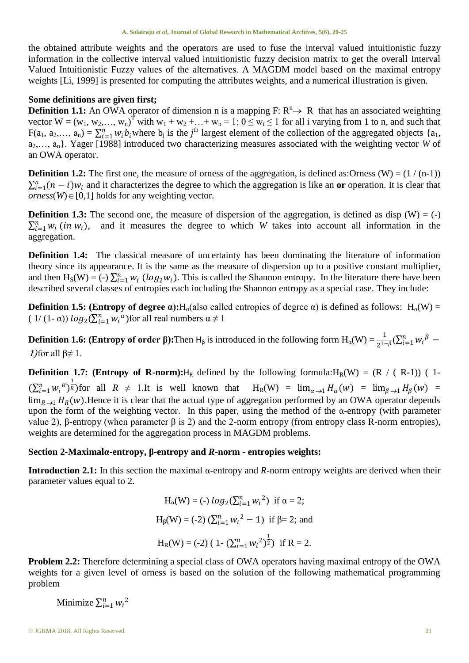the obtained attribute weights and the operators are used to fuse the interval valued intuitionistic fuzzy information in the collective interval valued intuitionistic fuzzy decision matrix to get the overall Interval Valued Intuitionistic Fuzzy values of the alternatives. A MAGDM model based on the maximal entropy weights [Li, 1999] is presented for computing the attributes weights, and a numerical illustration is given.

### **Some definitions are given first;**

**Definition 1.1:** An OWA operator of dimension n is a mapping  $F: R^n \rightarrow R$  that has an associated weighting vector  $W = (w_1, w_2,..., w_n)^T$  with  $w_1 + w_2 + ... + w_n = 1$ ;  $0 \le w_i \le 1$  for all i varying from 1 to n, and such that  $F(a_1, a_2,..., a_n) = \sum_{i=1}^n w_i b_i$  where  $b_j$  is the *j*<sup>th</sup> largest element of the collection of the aggregated objects {a<sub>1</sub>, a<sub>2</sub>,…, a<sub>n</sub>}. Yager [1988] introduced two characterizing measures associated with the weighting vector *W* of an OWA operator.

**Definition 1.2:** The first one, the measure of orness of the aggregation, is defined as: Orness (W) =  $(1/(n-1))$  $\sum_{i=1}^{n} (n - i)w_i$  and it characterizes the degree to which the aggregation is like an **or** operation. It is clear that  $orness(W) \in [0,1]$  holds for any weighting vector.

**Definition 1.3:** The second one, the measure of dispersion of the aggregation, is defined as disp  $(W) = (-)$  $\sum_{i=1}^n w_i$  (in  $w_i$ ), and it measures the degree to which *W* takes into account all information in the aggregation.

**Definition 1.4:** The classical measure of uncertainty has been dominating the literature of information theory since its appearance. It is the same as the measure of dispersion up to a positive constant multiplier, and then  $H_S(W) = (-) \sum_{i=1}^n w_i (log_2 w_i)$ . This is called the Shannon entropy. In the literature there have been described several classes of entropies each including the Shannon entropy as a special case. They include:

**Definition 1.5: (Entropy of degree**  $\alpha$ **):**H<sub>α</sub>(also called entropies of degree  $\alpha$ ) is defined as follows: H<sub>α</sub>(W) = (  $1/(1-\alpha)$ )  $log_2(\sum_{i=1}^n w_i^{\alpha})$  for all real numbers  $\alpha \neq 1$ 

**Definition 1.6: (Entropy of order β):**Then H<sub>β</sub> is introduced in the following form  $H_\alpha(W) = \frac{1}{2^{1-\beta}} (\sum_{i=1}^n w_i^{\beta} -$ 1) for all  $β≠1$ .

**Definition 1.7: (Entropy of R-norm):** $H_R$  defined by the following formula: $H_R(W) = (R / (R-1)) (1 (\sum_{i=1}^n w_i^R)^{\frac{1}{R}}$  for all  $R \neq 1$ . It is well known that  $H_R(W) = \lim_{\alpha \to 1} H_\alpha(w) = \lim_{\beta \to 1} H_\beta(w) =$  $\lim_{R\to 1} H_R(w)$ . Hence it is clear that the actual type of aggregation performed by an OWA operator depends upon the form of the weighting vector. In this paper, using the method of the  $\alpha$ -entropy (with parameter value 2), β-entropy (when parameter β is 2) and the 2-norm entropy (from entropy class R-norm entropies), weights are determined for the aggregation process in MAGDM problems.

### **Section 2-Maximalα-entropy, β-entropy and** *R***-norm - entropies weights:**

**Introduction 2.1:** In this section the maximal  $\alpha$ -entropy and *R*-norm entropy weights are derived when their parameter values equal to 2.

$$
H_{\alpha}(W) = (-) \log_2(\sum_{i=1}^n w_i^2) \text{ if } \alpha = 2;
$$
  
\n
$$
H_{\beta}(W) = (-2) (\sum_{i=1}^n w_i^2 - 1) \text{ if } \beta = 2; \text{ and}
$$
  
\n
$$
H_R(W) = (-2) (1 - (\sum_{i=1}^n w_i^2)^{\frac{1}{2}}) \text{ if } R = 2.
$$

**Problem 2.2:** Therefore determining a special class of OWA operators having maximal entropy of the OWA weights for a given level of orness is based on the solution of the following mathematical programming problem

Minimize  $\sum_{i=1}^{n} w_i^2$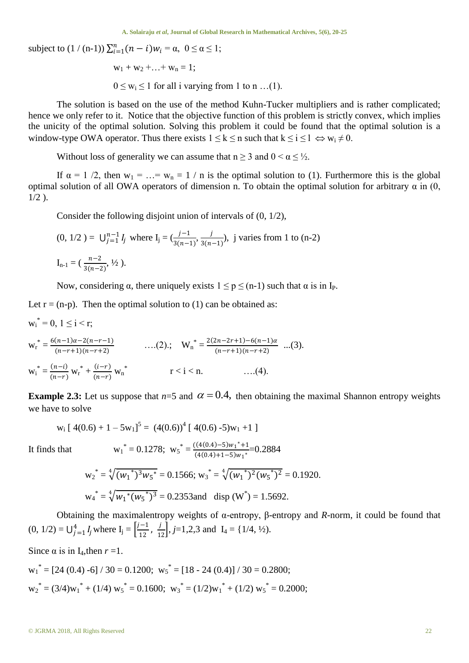**A. Solairaju** *et al***, Journal of Global Research in Mathematical Archives, 5(6), 20-25**

subject to  $(1/(n-1)) \sum_{i=1}^{n} (n-i) w_i = \alpha, \ 0 \le \alpha \le 1;$ 

$$
w_1 + w_2 + \ldots + w_n = 1;
$$

 $0 \leq w_i \leq 1$  for all i varying from 1 to n ...(1).

The solution is based on the use of the method Kuhn-Tucker multipliers and is rather complicated; hence we only refer to it. Notice that the objective function of this problem is strictly convex, which implies the unicity of the optimal solution. Solving this problem it could be found that the optimal solution is a window-type OWA operator. Thus there exists  $1 \le k \le n$  such that  $k \le i \le l \Leftrightarrow w_i \ne 0$ .

Without loss of generality we can assume that  $n \ge 3$  and  $0 \le \alpha \le \frac{1}{2}$ .

If  $\alpha = 1/2$ , then  $w_1 = ... = w_n = 1/n$  is the optimal solution to (1). Furthermore this is the global optimal solution of all OWA operators of dimension n. To obtain the optimal solution for arbitrary  $\alpha$  in (0,  $1/2$ ).

Consider the following disjoint union of intervals of (0, 1/2),

$$
(0, 1/2) = U_{j=1}^{n-1} I_j \text{ where } I_j = (\frac{j-1}{3(n-1)}, \frac{j}{3(n-1)}), \text{ j varies from 1 to (n-2)}
$$
  

$$
I_{n-1} = (\frac{n-2}{3(n-2)}, \frac{1}{2}).
$$

Now, considering  $\alpha$ , there uniquely exists  $1 \le p \le (n-1)$  such that  $\alpha$  is in I<sub>P</sub>.

Let  $r = (n-p)$ . Then the optimal solution to (1) can be obtained as:

$$
w_i^* = 0, 1 \le i < r;
$$
  
\n
$$
w_r^* = \frac{6(n-1)\alpha - 2(n-r-1)}{(n-r+1)(n-r+2)}
$$
 ....(2); 
$$
W_n^* = \frac{2(2n-2r+1) - 6(n-1)\alpha}{(n-r+1)(n-r+2)}
$$
 ....(3).  
\n
$$
w_i^* = \frac{(n-i)}{(n-r)} w_r^* + \frac{(i-r)}{(n-r)} w_n^*
$$
  $r < i < n.$  ....(4).

**Example 2.3:** Let us suppose that  $n=5$  and  $\alpha = 0.4$ , then obtaining the maximal Shannon entropy weights we have to solve

$$
w_i [ 4(0.6) + 1 - 5w_1 ]^5 = (4(0.6))^4 [ 4(0.6) - 5)w_1 + 1 ]
$$

It finds that

 $\sim$  0, 1  $\sim$   $\sim$ 

$$
w_1^* = 0.1278; \ w_5^* = \frac{((4(0.4) - 5)w_1^* + 1}{(4(0.4) + 1 - 5)w_1^*} = 0.2884
$$
  

$$
w_2^* = \sqrt[4]{(w_1^*)^3 w_5^*} = 0.1566; \ w_3^* = \sqrt[4]{(w_1^*)^2 (w_5^*)^2} = 0.1920.
$$
  

$$
w_4^* = \sqrt[4]{w_1^*(w_5^*)^3} = 0.2353 \text{ and } \text{disp } (W^*) = 1.5692.
$$

Obtaining the maximalentropy weights of α-entropy, β-entropy and *R*-norm, it could be found that  $(0, 1/2) = \bigcup_{j=1}^{4} I_j$  where  $I_j = \left[\frac{j-1}{12}\right]$  $\frac{-1}{12}$ ,  $\frac{j}{12}$ ,  $j=1,2,3$  and  $I_4 = \{1/4, \frac{1}{2}\}$ .

Since  $\alpha$  is in I<sub>4</sub>, then  $r = 1$ .

$$
w_1^* = [24 (0.4) -6] / 30 = 0.1200; w_5^* = [18 - 24 (0.4)] / 30 = 0.2800;
$$
  

$$
w_2^* = (3/4)w_1^* + (1/4) w_5^* = 0.1600; w_3^* = (1/2)w_1^* + (1/2) w_5^* = 0.2000;
$$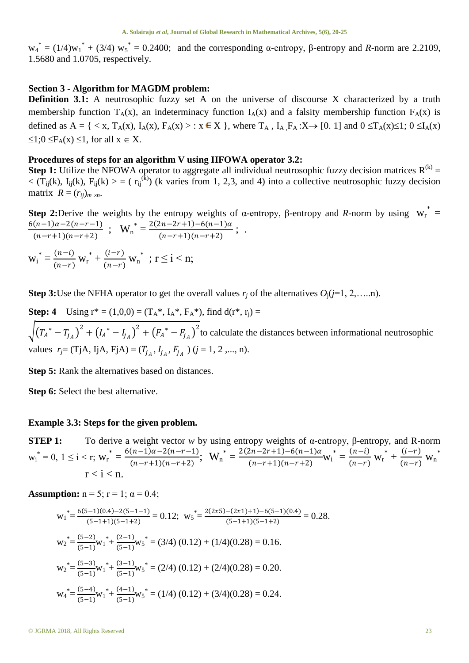$w_4^* = (1/4)w_1^* + (3/4)w_5^* = 0.2400$ ; and the corresponding  $\alpha$ -entropy,  $\beta$ -entropy and *R*-norm are 2.2109, 1.5680 and 1.0705, respectively.

#### **Section 3 - Algorithm for MAGDM problem:**

**Definition 3.1:** A neutrosophic fuzzy set A on the universe of discourse X characterized by a truth membership function  $T_A(x)$ , an indeterminacy function  $I_A(x)$  and a falsity membership function  $F_A(x)$  is defined as  $A = \{ \langle x, T_A(x), I_A(x), F_A(x) \rangle : x \in X \}$ , where  $T_A$ ,  $I_A F_A : X \rightarrow [0, 1]$  and  $0 \le T_A(x) \le 1$ ;  $0 \le I_A(x)$  $\leq$ 1;0  $\leq$ F<sub>A</sub>(x)  $\leq$ 1, for all  $x \in X$ .

#### **Procedures of steps for an algorithm V using IIFOWA operator 3.2:**

**Step 1:** Utilize the NFOWA operator to aggregate all individual neutrosophic fuzzy decision matrices  $R^{(k)}$  =  $\langle$  (T<sub>ij</sub>(k), I<sub>ij</sub>(k), F<sub>ij</sub>(k) > = ( $r_{ij}^{(k)}$ ) (k varies from 1, 2,3, and 4) into a collective neutrosophic fuzzy decision matrix  $R = (r_{ij})_{m \times n}$ .

**Step 2:**Derive the weights by the entropy weights of α-entropy, β-entropy and *R*-norm by using  $w_r^* =$  $6(n-1)\alpha - 2(n-r-1)$  $\frac{(n-1)\alpha-2(n-r-1)}{(n-r+1)(n-r+2)}$ ;  $W_n^* = \frac{2(2n-2r+1)-6(n-1)\alpha}{(n-r+1)(n-r+2)}$  $\frac{(n-r+1)(n-r+2)}{(n-r+1)(n-r+2)}$ ; .  $W_i^* = \frac{(n-i)}{(n-r)}$  $\frac{(n-i)}{(n-r)} W_{r}^{*} + \frac{(i-r)}{(n-r)}$  $\frac{(t-r)}{(n-r)}$  w<sub>n</sub><sup>\*</sup>; r ≤ i < n;

**Step 3:**Use the NFHA operator to get the overall values  $r_i$  of the alternatives  $O_i$  ( $j=1, 2, \ldots, n$ ).

**Step: 4** Using  $r^* = (1,0,0) = (T_A^*, I_A^*, F_A^*)$ , find  $d(r^*, r_j) =$  $\sqrt{(T_A^* - T_{j_A})^2 + (I_A^* - I_{j_A})^2 + (F_A^* - F_{j_A})^2}$  to calculate the distances between informational neutrosophic values  $r_j$ = (TjA, IjA, FjA) = ( $T_{j_A}$ ,  $I_{j_A}$ ,  $F_{j_A}$ ) ( $j$  = 1, 2,..., n).

**Step 5:** Rank the alternatives based on distances.

**Step 6:** Select the best alternative.

#### **Example 3.3: Steps for the given problem.**

**STEP 1:** To derive a weight vector *w* by using entropy weights of α-entropy, β-entropy, and R-norm  $w_i^* = 0$ ,  $1 \le i \le r$ ;  $w_i^* = \frac{6(n-1)\alpha - 2(n-r-1)}{(n-r+1)(n-r+2)}$  $\frac{(n-1)\alpha - 2(n-r-1)}{(n-r+1)(n-r+2)}$ ;  $\mathbf{W}_n^* = \frac{2(2n-2r+1)-6(n-1)\alpha}{(n-r+1)(n-r+2)}$  $\frac{(n-2r+1)-6(n-1)a}{(n-r+1)(n-r+2)}W_i^* = \frac{(n-i)}{(n-r)}$  $\frac{(n-i)}{(n-r)} W_{r}^{*} + \frac{(i-r)}{(n-r)}$  $\frac{(t-r)}{(n-r)}$  W<sub>n</sub><sup>\*</sup>  $r < i < n$ .

**Assumption:**  $n = 5$ ;  $r = 1$ ;  $\alpha = 0.4$ ;

$$
w_1^* = \frac{6(5-1)(0.4) - 2(5-1-1)}{(5-1+1)(5-1+2)} = 0.12; \ w_5^* = \frac{2(2x5) - (2x1) + 1) - 6(5-1)(0.4)}{(5-1+1)(5-1+2)} = 0.28.
$$
  
\n
$$
w_2^* = \frac{(5-2)}{(5-1)}w_1^* + \frac{(2-1)}{(5-1)}w_5^* = (3/4)(0.12) + (1/4)(0.28) = 0.16.
$$
  
\n
$$
w_2^* = \frac{(5-3)}{(5-1)}w_1^* + \frac{(3-1)}{(5-1)}w_5^* = (2/4)(0.12) + (2/4)(0.28) = 0.20.
$$
  
\n
$$
w_4^* = \frac{(5-4)}{(5-1)}w_1^* + \frac{(4-1)}{(5-1)}w_5^* = (1/4)(0.12) + (3/4)(0.28) = 0.24.
$$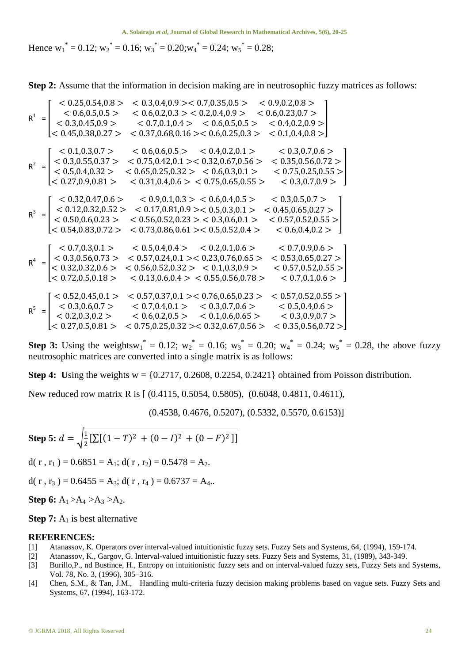Hence w<sub>1</sub><sup>\*</sup> = 0.12; w<sub>2</sub><sup>\*</sup> = 0.16; w<sub>3</sub><sup>\*</sup> = 0.20;w<sub>4</sub><sup>\*</sup> = 0.24; w<sub>5</sub><sup>\*</sup> = 0.28;

**Step 2:** Assume that the information in decision making are in neutrosophic fuzzy matrices as follows:

$$
R^{1} = \begin{bmatrix} < 0.25, 0.54, 0.8 > < 0.3, 0.4, 0.9 > < 0.7, 0.35, 0.5 > < 0.9, 0.2, 0.8 > \\ < 0.6, 0.5, 0.5 > < 0.6, 0.2, 0.3 > < 0.2, 0.4, 0.9 > < 0.6, 0.23, 0.7 > \\ < 0.3, 0.45, 0.9 > < 0.7, 0.1, 0.4 > < 0.6, 0.5, 0.5 > < 0.4, 0.2, 0.9 > \\ < 0.45, 0.38, 0.27 > < 0.37, 0.68, 0.16 > < 0.6, 0.25, 0.3 > < 0.1, 0.4, 0.8 > \\ < 0.3, 0.55, 0.37 > < 0.75, 0.42, 0.1 > < 0.32, 0.67, 0.56 > < 0.35, 0.56, 0.72 > \\ < 0.5, 0.4, 0.32 > < 0.65, 0.25, 0.32 > < 0.6, 0.3, 0.1 > < 0.75, 0.25, 0.55 > \\ < 0.27, 0.9, 0.81 > < 0.31, 0.4, 0.6 > < 0.75, 0.65, 0.55 > < 0.33, 0.7, 0.9 > \\ < 0.12, 0.32, 0.52 > < 0.17, 0.81, 0.9 > < 0.5, 0.3, 0.1 > < 0.45, 0.65, 0.27 > \\ < 0.12, 0.32, 0.52 > < 0.17, 0.81, 0.9 > < 0.5, 0.
$$

**Step 3:** Using the weightsw<sub>1</sub><sup>\*</sup> = 0.12; w<sub>2</sub><sup>\*</sup> = 0.16; w<sub>3</sub><sup>\*</sup> = 0.20; w<sub>4</sub><sup>\*</sup> = 0.24; w<sub>5</sub><sup>\*</sup> = 0.28, the above fuzzy neutrosophic matrices are converted into a single matrix is as follows:

**Step 4:** Using the weights  $w = \{0.2717, 0.2608, 0.2254, 0.2421\}$  obtained from Poisson distribution.

New reduced row matrix R is [  $(0.4115, 0.5054, 0.5805)$ ,  $(0.6048, 0.4811, 0.4611)$ ,

(0.4538, 0.4676, 0.5207), (0.5332, 0.5570, 0.6153)]

Step 5: 
$$
d = \sqrt{\frac{1}{2} [\sum [(1 - T)^2 + (0 - I)^2 + (0 - F)^2]]}
$$

d( r, r<sub>1</sub>) =  $0.6851 = A_1$ ; d( r, r<sub>2</sub>) =  $0.5478 = A_2$ .

d( r, r<sub>3</sub>) =  $0.6455 = A_3$ ; d( r, r<sub>4</sub>) =  $0.6737 = A_4$ ..

**Step 6:**  $A_1 > A_4 > A_3 > A_2$ .

**Step 7:**  $A_1$  is best alternative

#### **REFERENCES:**

- [1] Atanassov, K. Operators over interval-valued intuitionistic fuzzy sets. Fuzzy Sets and Systems, 64, (1994), 159-174.
- [2] Atanassov, K., Gargov, G. Interval-valued intuitionistic fuzzy sets. Fuzzy Sets and Systems, 31, (1989), 343-349.
- [3] Burillo,P., nd Bustince, H., Entropy on intuitionistic fuzzy sets and on interval-valued fuzzy sets, Fuzzy Sets and Systems, Vol. 78, No. 3, (1996), 305–316.
- [4] Chen, S.M., & Tan, J.M., Handling multi-criteria fuzzy decision making problems based on vague sets. Fuzzy Sets and Systems, 67, (1994), 163-172.